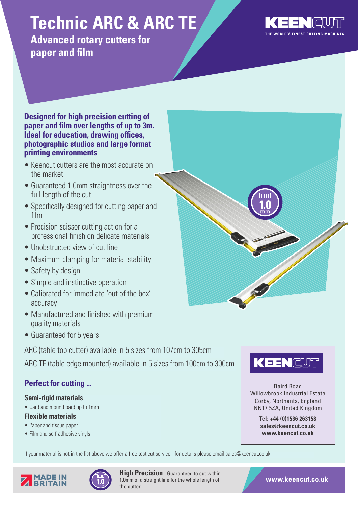# **Technic ARC & ARC TE**

**Advanced rotary cutters for paper and film**



#### **Designed for high precision cutting of paper and film over lengths of up to 3m. Ideal for education, drawing offices, photographic studios and large format printing environments**

- Keencut cutters are the most accurate on the market
- Guaranteed 1.0mm straightness over the full length of the cut
- Specifically designed for cutting paper and film
- Precision scissor cutting action for a professional finish on delicate materials
- Unobstructed view of cut line
- Maximum clamping for material stability
- Safety by design
- Simple and instinctive operation
- Calibrated for immediate 'out of the box' accuracy
- Manufactured and finished with premium quality materials
- Guaranteed for 5 years

ARC (table top cutter) available in 5 sizes from 107cm to 305cm

ARC TE (table edge mounted) available in 5 sizes from 100cm to 300cm

# **Perfect for cutting ...**

### **Semi-rigid materials**

• Card and mountboard up to 1mm

### **Flexible materials**

- Paper and tissue paper
- Film and self-adhesive vinyls







Baird Road Willowbrook Industrial Estate Corby, Northants, England NN17 5ZA, United Kingdom

> **Tel: +44 (0)1536 263158 sales@keencut.co.uk www.keencut.co.uk**



**High Precision** - Guaranteed to cut within 1.0mm of a straight line for the whole length of the cutter